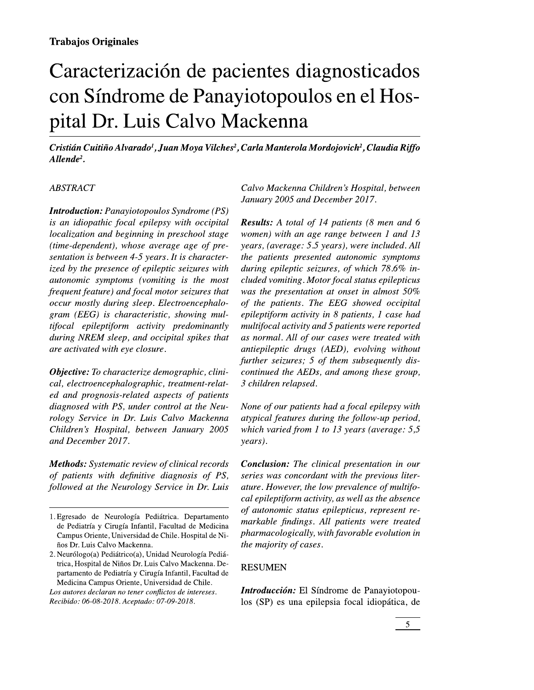# Caracterización de pacientes diagnosticados con Síndrome de Panayiotopoulos en el Hospital Dr. Luis Calvo Mackenna

Cristián Cuitiño Alvarado<sup>1</sup>, Juan Moya Vilches<sup>2</sup>, Carla Manterola Mordojovich<sup>2</sup>, Claudia Riffo  $Allende<sup>2</sup>$ .

### **ABSTRACT**

**Introduction:** Panayiotopoulos Syndrome (PS) is an idiopathic focal epilepsy with occipital localization and beginning in preschool stage (time-dependent), whose average age of presentation is between 4-5 years. It is characterized by the presence of epileptic seizures with autonomic symptoms (vomiting is the most frequent feature) and focal motor seizures that occur mostly during sleep. Electroencephalogram (EEG) is characteristic, showing multifocal epileptiform activity predominantly during NREM sleep, and occipital spikes that are activated with eye closure.

**Objective:** To characterize demographic, clinical, electroencephalographic, treatment-related and prognosis-related aspects of patients diagnosed with PS, under control at the Neurology Service in Dr. Luis Calvo Mackenna Children's Hospital, between January 2005 and December 2017.

**Methods:** Systematic review of clinical records of patients with definitive diagnosis of PS, followed at the Neurology Service in Dr. Luis

Los autores declaran no tener conflictos de intereses. Recibido: 06-08-2018. Aceptado: 07-09-2018.

Calvo Mackenna Children's Hospital, between January 2005 and December 2017.

**Results:** A total of 14 patients (8 men and 6 women) with an age range between 1 and 13 years, (average: 5.5 years), were included. All the patients presented autonomic symptoms during epileptic seizures, of which 78.6% included vomiting. Motor focal status epilepticus was the presentation at onset in almost 50% of the patients. The EEG showed occipital epileptiform activity in 8 patients, 1 case had multifocal activity and 5 patients were reported as normal. All of our cases were treated with antiepileptic drugs (AED), evolving without further seizures; 5 of them subsequently discontinued the AEDs, and among these group, 3 children relapsed.

None of our patients had a focal epilepsy with atypical features during the follow-up period, which varied from 1 to 13 years (average:  $5,5$ years).

**Conclusion:** The clinical presentation in our series was concordant with the previous literature. However, the low prevalence of multifocal epileptiform activity, as well as the absence of autonomic status epilepticus, represent remarkable findings. All patients were treated pharmacologically, with favorable evolution in the majority of cases.

### **RESUMEN**

Introducción: El Síndrome de Panayiotopoulos (SP) es una epilepsia focal idiopática, de

<sup>1.</sup> Egresado de Neurología Pediátrica. Departamento de Pediatría y Cirugía Infantil, Facultad de Medicina Campus Oriente, Universidad de Chile. Hospital de Niños Dr. Luis Calvo Mackenna.

<sup>2.</sup> Neurólogo(a) Pediátrico(a), Unidad Neurología Pediátrica, Hospital de Niños Dr. Luis Calvo Mackenna. Departamento de Pediatría y Cirugía Infantil, Facultad de Medicina Campus Oriente, Universidad de Chile.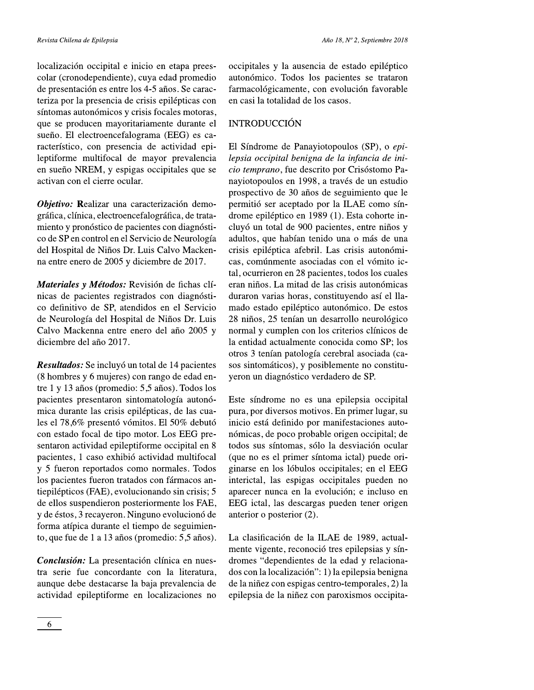localización occipital e inicio en etapa preescolar (cronodependiente), cuya edad promedio de presentación es entre los 4-5 años. Se caracteriza por la presencia de crisis epilépticas con síntomas autonómicos y crisis focales motoras, que se producen mayoritariamente durante el sueño. El electroencefalograma (EEG) es característico, con presencia de actividad epileptiforme multifocal de mayor prevalencia en sueño NREM, y espigas occipitales que se activan con el cierre ocular.

Objetivo: Realizar una caracterización demográfica, clínica, electroencefalográfica, de tratamiento y pronóstico de pacientes con diagnóstico de SP en control en el Servicio de Neurología del Hospital de Niños Dr. Luis Calvo Mackenna entre enero de 2005 y diciembre de 2017.

Materiales y Métodos: Revisión de fichas clínicas de pacientes registrados con diagnóstico definitivo de SP, atendidos en el Servicio de Neurología del Hospital de Niños Dr. Luis Calvo Mackenna entre enero del año 2005 y diciembre del año 2017.

Resultados: Se incluyó un total de 14 pacientes (8 hombres y 6 mujeres) con rango de edad entre 1 y 13 años (promedio: 5,5 años). Todos los pacientes presentaron sintomatología autonómica durante las crisis epilépticas, de las cuales el 78,6% presentó vómitos. El 50% debutó con estado focal de tipo motor. Los EEG presentaron actividad epileptiforme occipital en 8 pacientes, 1 caso exhibió actividad multifocal y 5 fueron reportados como normales. Todos los pacientes fueron tratados con fármacos antiepilépticos (FAE), evolucionando sin crisis; 5 de ellos suspendieron posteriormente los FAE, y de éstos, 3 recayeron. Ninguno evolucionó de forma atípica durante el tiempo de seguimiento, que fue de 1 a 13 años (promedio: 5,5 años).

Conclusión: La presentación clínica en nuestra serie fue concordante con la literatura, aunque debe destacarse la baja prevalencia de actividad epileptiforme en localizaciones no occipitales y la ausencia de estado epiléptico autonómico. Todos los pacientes se trataron farmacológicamente, con evolución favorable en casi la totalidad de los casos.

## **INTRODUCCIÓN**

El Síndrome de Panayiotopoulos (SP), o epilepsia occipital benigna de la infancia de inicio temprano, fue descrito por Crisóstomo Panayiotopoulos en 1998, a través de un estudio prospectivo de 30 años de seguimiento que le permitió ser aceptado por la ILAE como síndrome epiléptico en 1989 (1). Esta cohorte incluyó un total de 900 pacientes, entre niños y adultos, que habían tenido una o más de una crisis epiléptica afebril. Las crisis autonómicas, comúnmente asociadas con el vómito ictal, ocurrieron en 28 pacientes, todos los cuales eran niños. La mitad de las crisis autonómicas duraron varias horas, constituyendo así el llamado estado epiléptico autonómico. De estos 28 niños, 25 tenían un desarrollo neurológico normal y cumplen con los criterios clínicos de la entidad actualmente conocida como SP; los otros 3 tenían patología cerebral asociada (casos sintomáticos), y posiblemente no constituyeron un diagnóstico verdadero de SP.

Este síndrome no es una epilepsia occipital pura, por diversos motivos. En primer lugar, su inicio está definido por manifestaciones autonómicas, de poco probable origen occipital; de todos sus síntomas, sólo la desviación ocular (que no es el primer síntoma ictal) puede originarse en los lóbulos occipitales; en el EEG interictal, las espigas occipitales pueden no aparecer nunca en la evolución; e incluso en EEG ictal, las descargas pueden tener origen anterior o posterior (2).

La clasificación de la ILAE de 1989, actualmente vigente, reconoció tres epilepsias y síndromes "dependientes de la edad y relacionados con la localización": 1) la epilepsia benigna de la niñez con espigas centro-temporales, 2) la epilepsia de la niñez con paroxismos occipita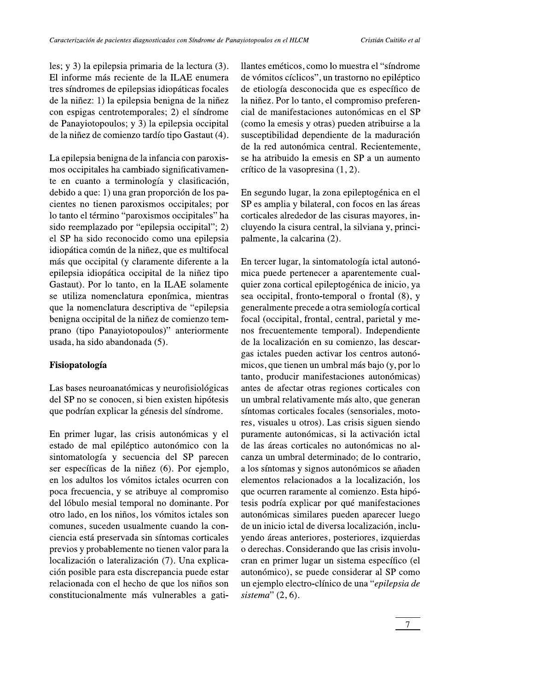les; y 3) la epilepsia primaria de la lectura (3). El informe más reciente de la ILAE enumera tres síndromes de epilepsias idiopáticas focales de la niñez: 1) la epilepsia benigna de la niñez con espigas centrotemporales; 2) el síndrome de Panayiotopoulos; y 3) la epilepsia occipital de la niñez de comienzo tardío tipo Gastaut (4).

La epilepsia benigna de la infancia con paroxismos occipitales ha cambiado significativamente en cuanto a terminología y clasificación, debido a que: 1) una gran proporción de los pacientes no tienen paroxismos occipitales; por lo tanto el término "paroxismos occipitales" ha sido reemplazado por "epilepsia occipital"; 2) el SP ha sido reconocido como una epilepsia idiopática común de la niñez, que es multifocal más que occipital (y claramente diferente a la epilepsia idiopática occipital de la niñez tipo Gastaut). Por lo tanto, en la ILAE solamente se utiliza nomenclatura eponímica, mientras que la nomenclatura descriptiva de "epilepsia benigna occipital de la niñez de comienzo temprano (tipo Panayiotopoulos)" anteriormente usada, ha sido abandonada (5).

### Fisiopatología

Las bases neuroanatómicas y neurofisiológicas del SP no se conocen, si bien existen hipótesis que podrían explicar la génesis del síndrome.

En primer lugar, las crisis autonómicas y el estado de mal epiléptico autonómico con la sintomatología y secuencia del SP parecen ser específicas de la niñez (6). Por ejemplo, en los adultos los vómitos ictales ocurren con poca frecuencia, y se atribuye al compromiso del lóbulo mesial temporal no dominante. Por otro lado, en los niños, los vómitos ictales son comunes, suceden usualmente cuando la conciencia está preservada sin síntomas corticales previos y probablemente no tienen valor para la localización o lateralización (7). Una explicación posible para esta discrepancia puede estar relacionada con el hecho de que los niños son constitucionalmente más vulnerables a gatillantes eméticos, como lo muestra el "síndrome" de vómitos cíclicos", un trastorno no epiléptico de etiología desconocida que es específico de la niñez. Por lo tanto, el compromiso preferencial de manifestaciones autonómicas en el SP (como la emesis y otras) pueden atribuirse a la susceptibilidad dependiente de la maduración de la red autonómica central. Recientemente, se ha atribuido la emesis en SP a un aumento crítico de la vasopresina (1, 2).

En segundo lugar, la zona epileptogénica en el SP es amplia y bilateral, con focos en las áreas corticales alrededor de las cisuras mayores, incluyendo la cisura central, la silviana y, principalmente, la calcarina (2).

En tercer lugar, la sintomatología ictal autonómica puede pertenecer a aparentemente cualquier zona cortical epileptogénica de inicio, ya sea occipital, fronto-temporal o frontal (8), y generalmente precede a otra semiología cortical focal (occipital, frontal, central, parietal y menos frecuentemente temporal). Independiente de la localización en su comienzo, las descargas ictales pueden activar los centros autonómicos, que tienen un umbral más bajo (y, por lo tanto, producir manifestaciones autonómicas) antes de afectar otras regiones corticales con un umbral relativamente más alto, que generan síntomas corticales focales (sensoriales, motores, visuales u otros). Las crisis siguen siendo puramente autonómicas, si la activación ictal de las áreas corticales no autonómicas no alcanza un umbral determinado; de lo contrario, a los síntomas y signos autonómicos se añaden elementos relacionados a la localización, los que ocurren raramente al comienzo. Esta hipótesis podría explicar por qué manifestaciones autonómicas similares pueden aparecer luego de un inicio ictal de diversa localización, incluyendo áreas anteriores, posteriores, izquierdas o derechas. Considerando que las crisis involucran en primer lugar un sistema específico (el autonómico), se puede considerar al SP como un ejemplo electro-clínico de una "epilepsia de sistema"  $(2, 6)$ .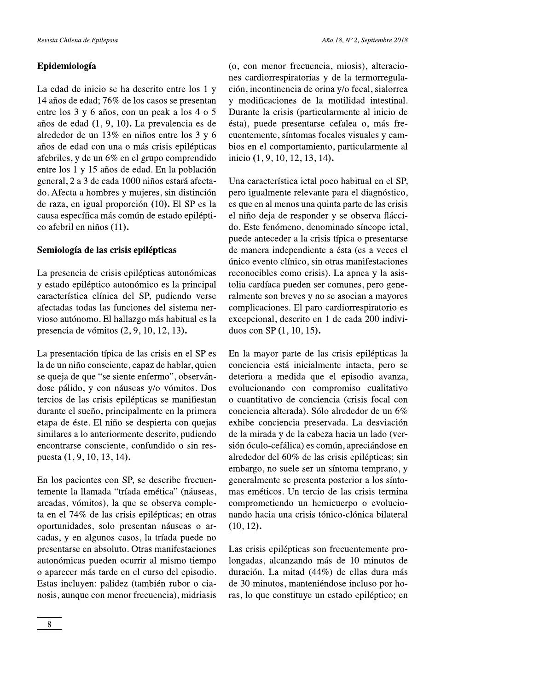# Epidemiología

La edad de inicio se ha descrito entre los 1 y 14 años de edad; 76% de los casos se presentan entre los 3 y 6 años, con un peak a los 4 o 5 años de edad (1, 9, 10). La prevalencia es de alrededor de un 13% en niños entre los 3 y 6 años de edad con una o más crisis epilépticas afebriles, y de un 6% en el grupo comprendido entre los 1 y 15 años de edad. En la población general, 2 a 3 de cada 1000 niños estará afectado. Afecta a hombres y mujeres, sin distinción de raza, en igual proporción (10). El SP es la causa específica más común de estado epiléptico afebril en niños (11).

# Semiología de las crisis epilépticas

La presencia de crisis epilépticas autonómicas y estado epiléptico autonómico es la principal característica clínica del SP, pudiendo verse afectadas todas las funciones del sistema nervioso autónomo. El hallazgo más habitual es la presencia de vómitos (2, 9, 10, 12, 13).

La presentación típica de las crisis en el SP es la de un niño consciente, capaz de hablar, quien se queja de que "se siente enfermo", observándose pálido, y con náuseas y/o vómitos. Dos tercios de las crisis epilépticas se manifiestan durante el sueño, principalmente en la primera etapa de éste. El niño se despierta con quejas similares a lo anteriormente descrito, pudiendo encontrarse consciente, confundido o sin respuesta (1, 9, 10, 13, 14).

En los pacientes con SP, se describe frecuentemente la llamada "tríada emética" (náuseas, arcadas, vómitos), la que se observa completa en el 74% de las crisis epilépticas; en otras oportunidades, solo presentan náuseas o arcadas, y en algunos casos, la tríada puede no presentarse en absoluto. Otras manifestaciones autonómicas pueden ocurrir al mismo tiempo o aparecer más tarde en el curso del episodio. Estas incluyen: palidez (también rubor o cianosis, aunque con menor frecuencia), midriasis (o, con menor frecuencia, miosis), alteraciones cardiorrespiratorias y de la termorregulación, incontinencia de orina y/o fecal, sialorrea y modificaciones de la motilidad intestinal. Durante la crisis (particularmente al inicio de ésta), puede presentarse cefalea o, más frecuentemente, síntomas focales visuales y cambios en el comportamiento, particularmente al inicio (1, 9, 10, 12, 13, 14).

Una característica ictal poco habitual en el SP, pero igualmente relevante para el diagnóstico, es que en al menos una quinta parte de las crisis el niño deja de responder y se observa fláccido. Este fenómeno, denominado síncope ictal, puede anteceder a la crisis típica o presentarse de manera independiente a ésta (es a veces el único evento clínico, sin otras manifestaciones reconocibles como crisis). La apnea y la asistolia cardíaca pueden ser comunes, pero generalmente son breves y no se asocian a mayores complicaciones. El paro cardiorrespiratorio es excepcional, descrito en 1 de cada 200 individuos con SP (1, 10, 15).

En la mayor parte de las crisis epilépticas la conciencia está inicialmente intacta, pero se deteriora a medida que el episodio avanza, evolucionando con compromiso cualitativo o cuantitativo de conciencia (crisis focal con conciencia alterada). Sólo alrededor de un 6% exhibe conciencia preservada. La desviación de la mirada y de la cabeza hacia un lado (versión óculo-cefálica) es común, apreciándose en alrededor del 60% de las crisis epilépticas; sin embargo, no suele ser un síntoma temprano, y generalmente se presenta posterior a los síntomas eméticos. Un tercio de las crisis termina comprometiendo un hemicuerpo o evolucionando hacia una crisis tónico-clónica bilateral  $(10, 12)$ .

Las crisis epilépticas son frecuentemente prolongadas, alcanzando más de 10 minutos de duración. La mitad (44%) de ellas dura más de 30 minutos, manteniéndose incluso por horas, lo que constituye un estado epiléptico; en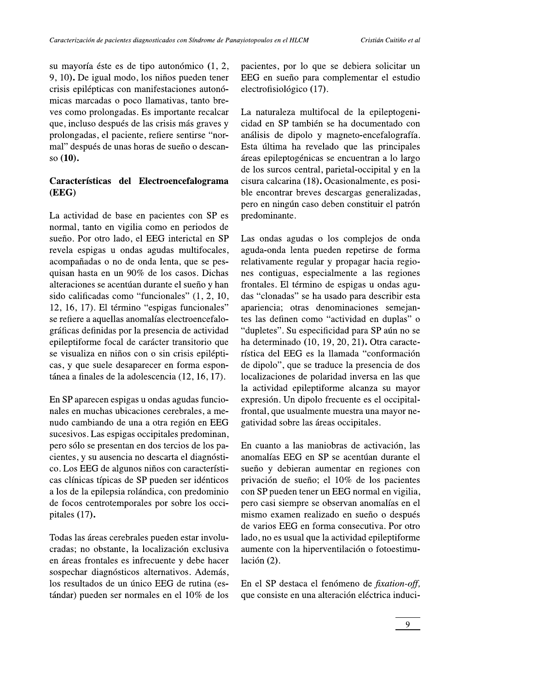su mayoría éste es de tipo autonómico (1, 2, 9, 10). De igual modo, los niños pueden tener crisis epilépticas con manifestaciones autonómicas marcadas o poco llamativas, tanto breves como prolongadas. Es importante recalcar que, incluso después de las crisis más graves y prolongadas, el paciente, refiere sentirse "normal" después de unas horas de sueño o descanso (10).

# Características del Electroencefalograma (EEG)

La actividad de base en pacientes con SP es normal, tanto en vigilia como en periodos de sueño. Por otro lado, el EEG interictal en SP revela espigas u ondas agudas multifocales, acompañadas o no de onda lenta, que se pesquisan hasta en un 90% de los casos. Dichas alteraciones se acentúan durante el sueño y han sido calificadas como "funcionales" (1, 2, 10, 12, 16, 17). El término "espigas funcionales" se refiere a aquellas anomalías electroencefalográficas definidas por la presencia de actividad epileptiforme focal de carácter transitorio que se visualiza en niños con o sin crisis epilépticas, y que suele desaparecer en forma espontánea a finales de la adolescencia (12, 16, 17).

En SP aparecen espigas u ondas agudas funcionales en muchas ubicaciones cerebrales, a menudo cambiando de una a otra región en EEG sucesivos. Las espigas occipitales predominan, pero sólo se presentan en dos tercios de los pacientes, y su ausencia no descarta el diagnóstico. Los EEG de algunos niños con características clínicas típicas de SP pueden ser idénticos a los de la epilepsia rolándica, con predominio de focos centrotemporales por sobre los occipitales  $(17)$ .

Todas las áreas cerebrales pueden estar involucradas; no obstante, la localización exclusiva en áreas frontales es infrecuente y debe hacer sospechar diagnósticos alternativos. Además, los resultados de un único EEG de rutina (estándar) pueden ser normales en el 10% de los pacientes, por lo que se debiera solicitar un EEG en sueño para complementar el estudio electrofisiológico (17).

La naturaleza multifocal de la epileptogenicidad en SP también se ha documentado con análisis de dipolo y magneto-encefalografía. Esta última ha revelado que las principales áreas epileptogénicas se encuentran a lo largo de los surcos central, parietal-occipital y en la cisura calcarina (18). Ocasionalmente, es posible encontrar breves descargas generalizadas, pero en ningún caso deben constituir el patrón predominante.

Las ondas agudas o los complejos de onda aguda-onda lenta pueden repetirse de forma relativamente regular y propagar hacia regiones contiguas, especialmente a las regiones frontales. El término de espigas u ondas agudas "clonadas" se ha usado para describir esta apariencia; otras denominaciones semejantes las definen como "actividad en duplas" o "dupletes". Su especificidad para SP aún no se ha determinado (10, 19, 20, 21). Otra característica del EEG es la llamada "conformación de dipolo", que se traduce la presencia de dos localizaciones de polaridad inversa en las que la actividad epileptiforme alcanza su mayor expresión. Un dipolo frecuente es el occipitalfrontal, que usualmente muestra una mayor negatividad sobre las áreas occipitales.

En cuanto a las maniobras de activación, las anomalías EEG en SP se acentúan durante el sueño y debieran aumentar en regiones con privación de sueño; el 10% de los pacientes con SP pueden tener un EEG normal en vigilia, pero casi siempre se observan anomalías en el mismo examen realizado en sueño o después de varios EEG en forma consecutiva. Por otro lado, no es usual que la actividad epileptiforme aumente con la hiperventilación o fotoestimulación (2).

En el SP destaca el fenómeno de *fixation-off*, que consiste en una alteración eléctrica induci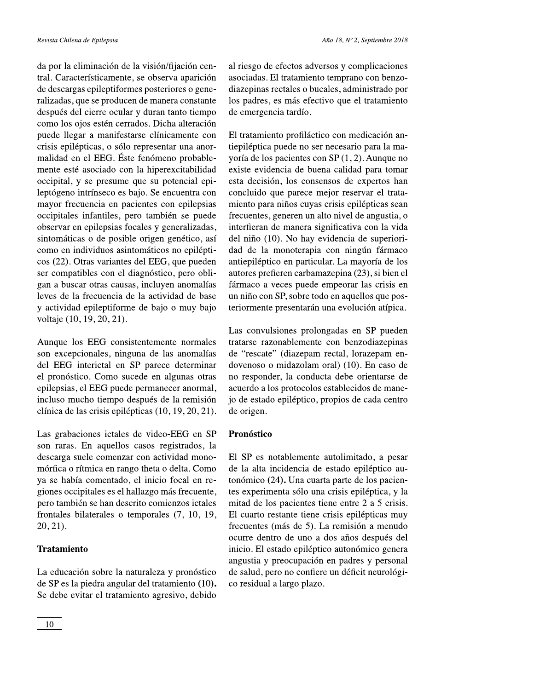da por la eliminación de la visión/fijación central. Característicamente, se observa aparición de descargas epileptiformes posteriores o generalizadas, que se producen de manera constante después del cierre ocular y duran tanto tiempo como los ojos estén cerrados. Dicha alteración puede llegar a manifestarse clínicamente con crisis epilépticas, o sólo representar una anormalidad en el EEG. Éste fenómeno probablemente esté asociado con la hiperexcitabilidad occipital, y se presume que su potencial epileptógeno intrínseco es bajo. Se encuentra con mayor frecuencia en pacientes con epilepsias occipitales infantiles, pero también se puede observar en epilepsias focales y generalizadas, sintomáticas o de posible origen genético, así como en individuos asintomáticos no epilépticos (22). Otras variantes del EEG, que pueden ser compatibles con el diagnóstico, pero obligan a buscar otras causas, incluyen anomalías leves de la frecuencia de la actividad de base y actividad epileptiforme de bajo o muy bajo voltaje (10, 19, 20, 21).

Aunque los EEG consistentemente normales son excepcionales, ninguna de las anomalías del EEG interictal en SP parece determinar el pronóstico. Como sucede en algunas otras epilepsias, el EEG puede permanecer anormal, incluso mucho tiempo después de la remisión clínica de las crisis epilépticas (10, 19, 20, 21).

Las grabaciones ictales de video-EEG en SP son raras. En aquellos casos registrados, la descarga suele comenzar con actividad monomórfica o rítmica en rango theta o delta. Como ya se había comentado, el inicio focal en regiones occipitales es el hallazgo más frecuente, pero también se han descrito comienzos ictales frontales bilaterales o temporales (7, 10, 19,  $20, 21$ .

# **Tratamiento**

La educación sobre la naturaleza y pronóstico de SP es la piedra angular del tratamiento (10). Se debe evitar el tratamiento agresivo, debido

al riesgo de efectos adversos y complicaciones asociadas. El tratamiento temprano con benzodiazepinas rectales o bucales, administrado por los padres, es más efectivo que el tratamiento de emergencia tardío.

El tratamiento profiláctico con medicación antiepiléptica puede no ser necesario para la mayoría de los pacientes con SP (1, 2). Aunque no existe evidencia de buena calidad para tomar esta decisión, los consensos de expertos han concluido que parece mejor reservar el tratamiento para niños cuyas crisis epilépticas sean frecuentes, generen un alto nivel de angustia, o interfieran de manera significativa con la vida del niño (10). No hay evidencia de superioridad de la monoterapia con ningún fármaco antiepiléptico en particular. La mayoría de los autores prefieren carbamazepina (23), si bien el fármaco a veces puede empeorar las crisis en un niño con SP, sobre todo en aquellos que posteriormente presentarán una evolución atípica.

Las convulsiones prolongadas en SP pueden tratarse razonablemente con benzodiazepinas de "rescate" (diazepam rectal, lorazepam endovenoso o midazolam oral) (10). En caso de no responder, la conducta debe orientarse de acuerdo a los protocolos establecidos de manejo de estado epiléptico, propios de cada centro de origen.

# Pronóstico

El SP es notablemente autolimitado, a pesar de la alta incidencia de estado epiléptico autonómico (24). Una cuarta parte de los pacientes experimenta sólo una crisis epiléptica, y la mitad de los pacientes tiene entre 2 a 5 crisis. El cuarto restante tiene crisis epilépticas muy frecuentes (más de 5). La remisión a menudo ocurre dentro de uno a dos años después del inicio. El estado epiléptico autonómico genera angustia y preocupación en padres y personal de salud, pero no confiere un déficit neurológico residual a largo plazo.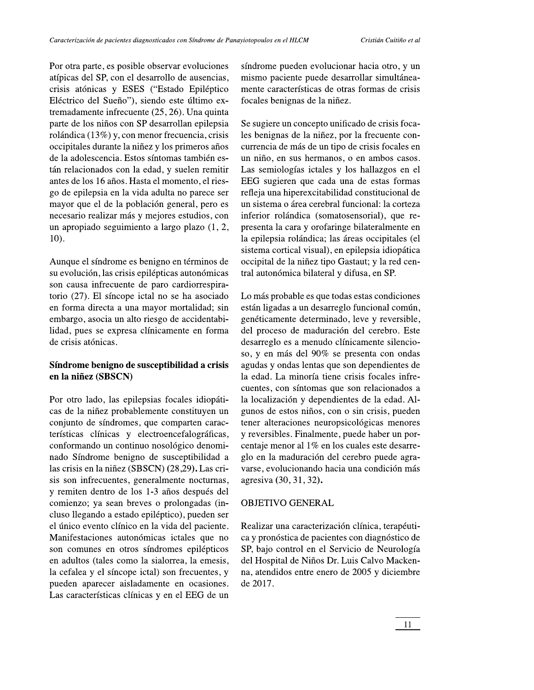Por otra parte, es posible observar evoluciones atípicas del SP, con el desarrollo de ausencias, crisis atónicas y ESES ("Estado Epiléptico Eléctrico del Sueño"), siendo este último extremadamente infrecuente  $(25, 26)$ . Una quinta parte de los niños con SP desarrollan epilepsia rolándica (13%) y, con menor frecuencia, crisis occipitales durante la niñez y los primeros años de la adolescencia. Estos síntomas también están relacionados con la edad, y suelen remitir antes de los 16 años. Hasta el momento, el riesgo de epilepsia en la vida adulta no parece ser mayor que el de la población general, pero es necesario realizar más y mejores estudios, con un apropiado seguimiento a largo plazo  $(1, 2, 1)$  $10$ ).

Aunque el síndrome es benigno en términos de su evolución, las crisis epilépticas autonómicas son causa infrecuente de paro cardiorrespiratorio (27). El síncope ictal no se ha asociado en forma directa a una mayor mortalidad; sin embargo, asocia un alto riesgo de accidentabilidad, pues se expresa clínicamente en forma de crisis atónicas.

# Síndrome benigno de susceptibilidad a crisis en la niñez (SBSCN)

Por otro lado, las epilepsias focales idiopáticas de la niñez probablemente constituyen un conjunto de síndromes, que comparten características clínicas y electroencefalográficas, conformando un continuo nosológico denominado Síndrome benigno de susceptibilidad a las crisis en la niñez (SBSCN) (28,29). Las crisis son infrecuentes, generalmente nocturnas, y remiten dentro de los 1-3 años después del comienzo; ya sean breves o prolongadas (incluso llegando a estado epiléptico), pueden ser el único evento clínico en la vida del paciente. Manifestaciones autonómicas ictales que no son comunes en otros síndromes epilépticos en adultos (tales como la sialorrea, la emesis, la cefalea y el síncope ictal) son frecuentes, y pueden aparecer aisladamente en ocasiones. Las características clínicas y en el EEG de un

síndrome pueden evolucionar hacia otro, y un mismo paciente puede desarrollar simultáneamente características de otras formas de crisis focales benignas de la niñez.

Se sugiere un concepto unificado de crisis focales benignas de la niñez, por la frecuente concurrencia de más de un tipo de crisis focales en un niño, en sus hermanos, o en ambos casos. Las semiologías ictales y los hallazgos en el EEG sugieren que cada una de estas formas refleja una hiperexcitabilidad constitucional de un sistema o área cerebral funcional: la corteza inferior rolándica (somatosensorial), que representa la cara y orofaringe bilateralmente en la epilepsia rolándica; las áreas occipitales (el sistema cortical visual), en epilepsia idiopática occipital de la niñez tipo Gastaut; y la red central autonómica bilateral y difusa, en SP.

Lo más probable es que todas estas condiciones están ligadas a un desarreglo funcional común, genéticamente determinado, leve y reversible, del proceso de maduración del cerebro. Este desarreglo es a menudo clínicamente silencioso, y en más del 90% se presenta con ondas agudas y ondas lentas que son dependientes de la edad. La minoría tiene crisis focales infrecuentes, con síntomas que son relacionados a la localización y dependientes de la edad. Algunos de estos niños, con o sin crisis, pueden tener alteraciones neuropsicológicas menores y reversibles. Finalmente, puede haber un porcentaje menor al 1% en los cuales este desarreglo en la maduración del cerebro puede agravarse, evolucionando hacia una condición más agresiva (30, 31, 32).

### **OBJETIVO GENERAL**

Realizar una caracterización clínica, terapéutica y pronóstica de pacientes con diagnóstico de SP, bajo control en el Servicio de Neurología del Hospital de Niños Dr. Luis Calvo Mackenna, atendidos entre enero de 2005 y diciembre de 2017.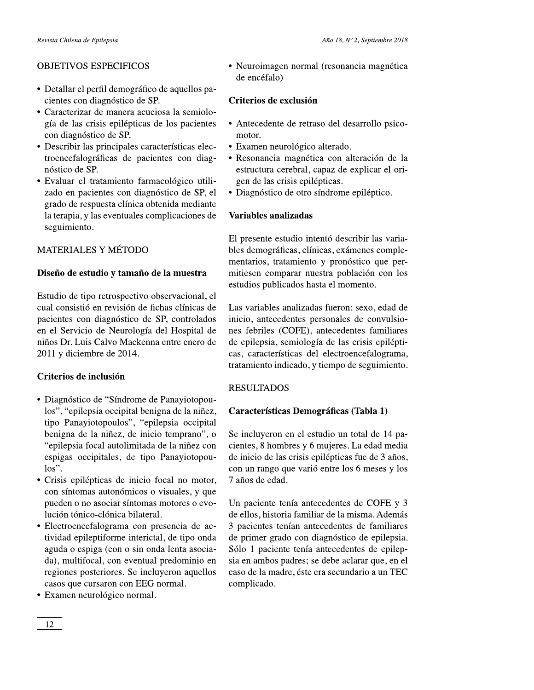- 
- 
- 
- 

- 
- 
- 
- 

- 
- 
- 
- 

Associates when the contribution of the set of the contribution of the set of the set of the set of the set of the set of the set of the set of the set of the set of the set of the set of the set of the set of the set of As  $(3, 5)$  spin-size is a spectral of the state of the state of the state of the state of the state of the state of the state of the state of the state of the state of the state of the state of the state of the state of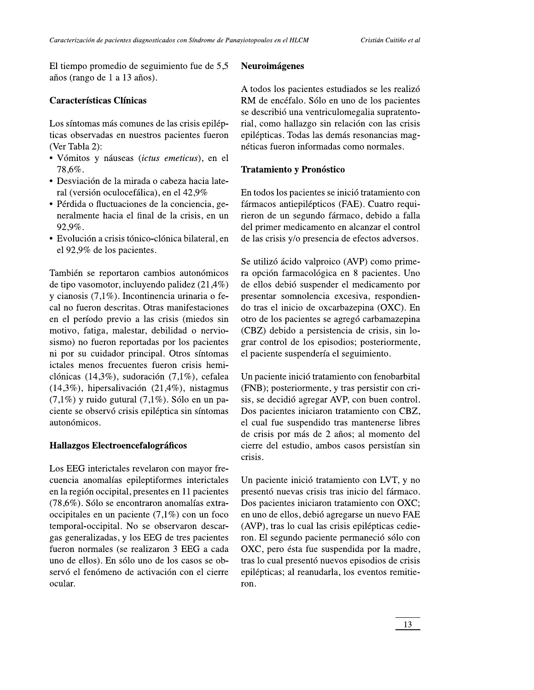El tiempo promedio de seguimiento fue de 5,5 años (rango de 1 a 13 años).

## **Características Clínicas**

Los síntomas más comunes de las crisis epilépticas observadas en nuestros pacientes fueron (Ver Tabla 2):

- · Vómitos y náuseas (ictus emeticus), en el 78.6%.
- · Desviación de la mirada o cabeza hacia lateral (versión oculocefálica), en el 42,9%
- Pérdida o fluctuaciones de la conciencia, generalmente hacia el final de la crisis, en un 92.9%.
- · Evolución a crisis tónico-clónica bilateral, en el 92,9% de los pacientes.

También se reportaron cambios autonómicos de tipo vasomotor, incluyendo palidez  $(21,4\%)$ y cianosis  $(7,1\%)$ . Incontinencia urinaria o fecal no fueron descritas. Otras manifestaciones en el período previo a las crisis (miedos sin motivo, fatiga, malestar, debilidad o nerviosismo) no fueron reportadas por los pacientes ni por su cuidador principal. Otros síntomas ictales menos frecuentes fueron crisis hemiclónicas (14,3%), sudoración (7,1%), cefalea (14,3%), hipersalivación (21,4%), nistagmus  $(7,1\%)$  y ruido gutural  $(7,1\%)$ . Sólo en un paciente se observó crisis epiléptica sin síntomas autonómicos.

### Hallazgos Electroencefalográficos

Los EEG interictales revelaron con mayor frecuencia anomalías epileptiformes interictales en la región occipital, presentes en 11 pacientes (78,6%). Sólo se encontraron anomalías extraoccipitales en un paciente  $(7,1\%)$  con un foco temporal-occipital. No se observaron descargas generalizadas, y los EEG de tres pacientes fueron normales (se realizaron 3 EEG a cada uno de ellos). En sólo uno de los casos se observó el fenómeno de activación con el cierre ocular.

A todos los pacientes estudiados se les realizó RM de encéfalo. Sólo en uno de los pacientes se describió una ventriculomegalia supratentorial, como hallazgo sin relación con las crisis epilépticas. Todas las demás resonancias magnéticas fueron informadas como normales.

### **Tratamiento y Pronóstico**

**Neuroimágenes** 

En todos los pacientes se inició tratamiento con fármacos antiepilépticos (FAE). Cuatro requirieron de un segundo fármaco, debido a falla del primer medicamento en alcanzar el control de las crisis y/o presencia de efectos adversos.

Se utilizó ácido valproico (AVP) como primera opción farmacológica en 8 pacientes. Uno de ellos debió suspender el medicamento por presentar somnolencia excesiva, respondiendo tras el inicio de oxcarbazepina (OXC). En otro de los pacientes se agregó carbamazepina (CBZ) debido a persistencia de crisis, sin lograr control de los episodios; posteriormente, el paciente suspendería el seguimiento.

Un paciente inició tratamiento con fenobarbital (FNB); posteriormente, y tras persistir con crisis, se decidió agregar AVP, con buen control. Dos pacientes iniciaron tratamiento con CBZ, el cual fue suspendido tras mantenerse libres de crisis por más de 2 años; al momento del cierre del estudio, ambos casos persistían sin crisis.

Un paciente inició tratamiento con LVT, y no presentó nuevas crisis tras inicio del fármaco. Dos pacientes iniciaron tratamiento con OXC; en uno de ellos, debió agregarse un nuevo FAE (AVP), tras lo cual las crisis epilépticas cedieron. El segundo paciente permaneció sólo con OXC, pero ésta fue suspendida por la madre, tras lo cual presentó nuevos episodios de crisis epilépticas; al reanudarla, los eventos remitieron.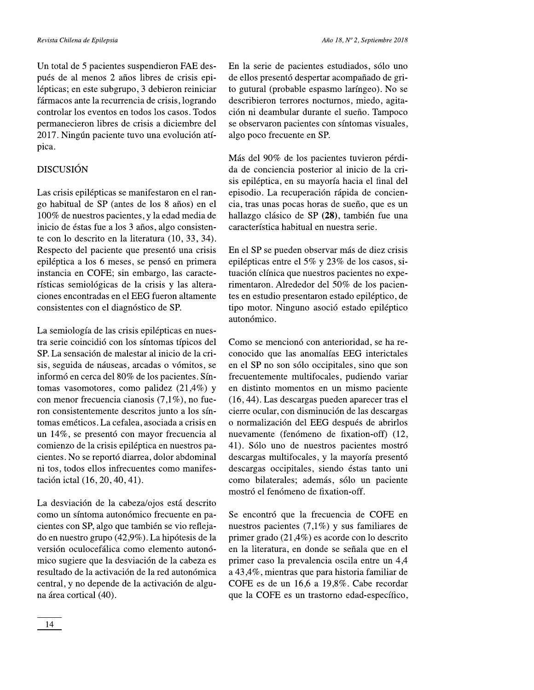Año 18, Nº 2, Septiembre 2018

Un total de 5 pacientes suspendieron FAE después de al menos 2 años libres de crisis epilépticas; en este subgrupo, 3 debieron reiniciar fármacos ante la recurrencia de crisis, logrando controlar los eventos en todos los casos. Todos permanecieron libres de crisis a diciembre del 2017. Ningún paciente tuvo una evolución atípica.

# **DISCUSIÓN**

Las crisis epilépticas se manifestaron en el rango habitual de SP (antes de los 8 años) en el 100% de nuestros pacientes, y la edad media de inicio de éstas fue a los 3 años, algo consistente con lo descrito en la literatura (10, 33, 34). Respecto del paciente que presentó una crisis epiléptica a los 6 meses, se pensó en primera instancia en COFE; sin embargo, las características semiológicas de la crisis y las alteraciones encontradas en el EEG fueron altamente consistentes con el diagnóstico de SP.

La semiología de las crisis epilépticas en nuestra serie coincidió con los síntomas típicos del SP. La sensación de malestar al inicio de la crisis, seguida de náuseas, arcadas o vómitos, se informó en cerca del 80% de los pacientes. Síntomas vasomotores, como palidez (21,4%) y con menor frecuencia cianosis  $(7,1\%)$ , no fueron consistentemente descritos junto a los síntomas eméticos. La cefalea, asociada a crisis en un 14%, se presentó con mayor frecuencia al comienzo de la crisis epiléptica en nuestros pacientes. No se reportó diarrea, dolor abdominal ni tos, todos ellos infrecuentes como manifestación ictal (16, 20, 40, 41).

La desviación de la cabeza/ojos está descrito como un síntoma autonómico frecuente en pacientes con SP, algo que también se vio reflejado en nuestro grupo (42,9%). La hipótesis de la versión oculocefálica como elemento autonómico sugiere que la desviación de la cabeza es resultado de la activación de la red autonómica central, y no depende de la activación de alguna área cortical (40).

En la serie de pacientes estudiados, sólo uno de ellos presentó despertar acompañado de grito gutural (probable espasmo laríngeo). No se describieron terrores nocturnos, miedo, agitación ni deambular durante el sueño. Tampoco se observaron pacientes con síntomas visuales, algo poco frecuente en SP.

Más del 90% de los pacientes tuvieron pérdida de conciencia posterior al inicio de la crisis epiléptica, en su mayoría hacia el final del episodio. La recuperación rápida de conciencia, tras unas pocas horas de sueño, que es un hallazgo clásico de SP (28), también fue una característica habitual en nuestra serie.

En el SP se pueden observar más de diez crisis epilépticas entre el 5% y 23% de los casos, situación clínica que nuestros pacientes no experimentaron. Alrededor del 50% de los pacientes en estudio presentaron estado epiléptico, de tipo motor. Ninguno asoció estado epiléptico autonómico.

Como se mencionó con anterioridad, se ha reconocido que las anomalías EEG interictales en el SP no son sólo occipitales, sino que son frecuentemente multifocales, pudiendo variar en distinto momentos en un mismo paciente (16, 44). Las descargas pueden aparecer tras el cierre ocular, con disminución de las descargas o normalización del EEG después de abrirlos nuevamente (fenómeno de fixation-off) (12, 41). Sólo uno de nuestros pacientes mostró descargas multifocales, y la mayoría presentó descargas occipitales, siendo éstas tanto uni como bilaterales; además, sólo un paciente mostró el fenómeno de fixation-off.

Se encontró que la frecuencia de COFE en nuestros pacientes  $(7,1\%)$  y sus familiares de primer grado  $(21,4\%)$  es acorde con lo descrito en la literatura, en donde se señala que en el primer caso la prevalencia oscila entre un 4,4 a 43,4%, mientras que para historia familiar de COFE es de un 16,6 a 19,8%. Cabe recordar que la COFE es un trastorno edad-específico,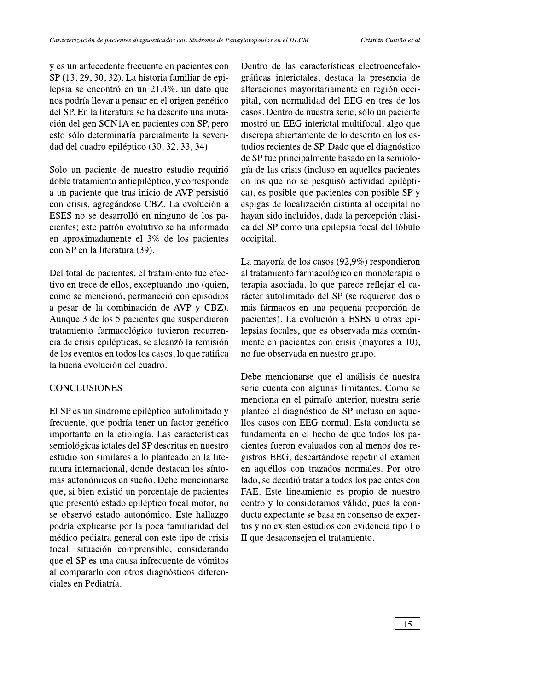Cristián Cuitiño et al

y es un antecedente frecuente en pacientes con  $SP(13, 29, 30, 32)$ . La historia familiar de epilepsia se encontró en un 21,4%, un dato que nos podría llevar a pensar en el origen genético del SP. En la literatura se ha descrito una mutación del gen SCN1A en pacientes con SP, pero esto sólo determinaría parcialmente la severidad del cuadro epiléptico (30, 32, 33, 34)

Solo un paciente de nuestro estudio requirió doble tratamiento antiepiléptico, y corresponde a un paciente que tras inicio de AVP persistió con crisis, agregándose CBZ. La evolución a ESES no se desarrolló en ninguno de los pacientes; este patrón evolutivo se ha informado en aproximadamente el 3% de los pacientes con SP en la literatura (39).

Del total de pacientes, el tratamiento fue efectivo en trece de ellos, exceptuando uno (quien, como se mencionó, permaneció con episodios a pesar de la combinación de AVP y CBZ). Aunque 3 de los 5 pacientes que suspendieron tratamiento farmacológico tuvieron recurrencia de crisis epilépticas, se alcanzó la remisión de los eventos en todos los casos, lo que ratifica la buena evolución del cuadro.

### **CONCLUSIONES**

El SP es un síndrome epiléptico autolimitado y frecuente, que podría tener un factor genético importante en la etiología. Las características semiológicas ictales del SP descritas en nuestro estudio son similares a lo planteado en la literatura internacional, donde destacan los síntomas autonómicos en sueño. Debe mencionarse que, si bien existió un porcentaje de pacientes que presentó estado epiléptico focal motor, no se observó estado autonómico. Este hallazgo podría explicarse por la poca familiaridad del médico pediatra general con este tipo de crisis focal: situación comprensible, considerando que el SP es una causa infrecuente de vómitos al compararlo con otros diagnósticos diferenciales en Pediatría.

Dentro de las características electroencefalográficas interictales, destaca la presencia de alteraciones mayoritariamente en región occipital, con normalidad del EEG en tres de los casos. Dentro de nuestra serie, sólo un paciente mostró un EEG interictal multifocal, algo que discrepa abiertamente de lo descrito en los estudios recientes de SP. Dado que el diagnóstico de SP fue principalmente basado en la semiología de las crisis (incluso en aquellos pacientes en los que no se pesquisó actividad epiléptica), es posible que pacientes con posible SP y espigas de localización distinta al occipital no hayan sido incluidos, dada la percepción clásica del SP como una epilepsia focal del lóbulo occipital.

La mayoría de los casos  $(92,9\%)$  respondieron al tratamiento farmacológico en monoterapia o terapia asociada, lo que parece reflejar el carácter autolimitado del SP (se requieren dos o más fármacos en una pequeña proporción de pacientes). La evolución a ESES u otras epilepsias focales, que es observada más comúnmente en pacientes con crisis (mayores a 10), no fue observada en nuestro grupo.

Debe mencionarse que el análisis de nuestra serie cuenta con algunas limitantes. Como se menciona en el párrafo anterior, nuestra serie planteó el diagnóstico de SP incluso en aquellos casos con EEG normal. Esta conducta se fundamenta en el hecho de que todos los pacientes fueron evaluados con al menos dos registros EEG, descartándose repetir el examen en aquéllos con trazados normales. Por otro lado, se decidió tratar a todos los pacientes con FAE. Este lineamiento es propio de nuestro centro y lo consideramos válido, pues la conducta expectante se basa en consenso de expertos y no existen estudios con evidencia tipo I o II que desaconsejen el tratamiento.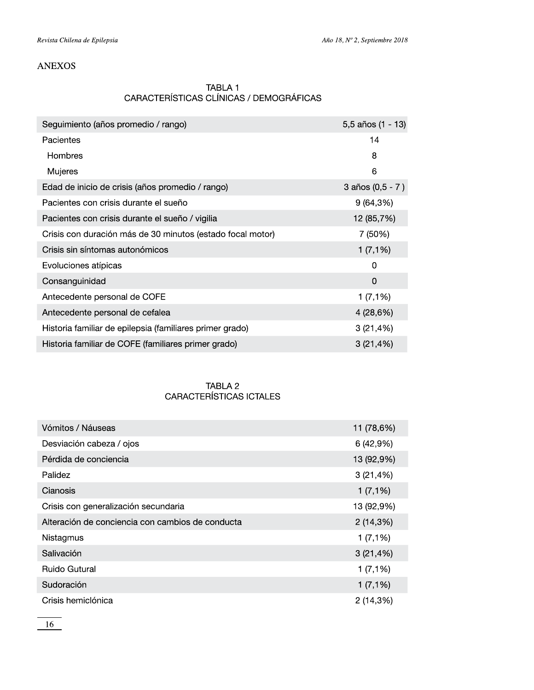# **ANEXOS**

# TABLA 1 CARACTERÍSTICAS CLÍNICAS / DEMOGRÁFICAS

| Seguimiento (años promedio / rango)                        | 5,5 años (1 - 13)  |
|------------------------------------------------------------|--------------------|
| Pacientes                                                  | 14                 |
| Hombres                                                    | 8                  |
| Mujeres                                                    | 6                  |
| Edad de inicio de crisis (años promedio / rango)           | 3 años $(0,5 - 7)$ |
| Pacientes con crisis durante el sueño                      | 9(64,3%)           |
| Pacientes con crisis durante el sueño / vigilia            | 12 (85,7%)         |
| Crisis con duración más de 30 minutos (estado focal motor) | 7 (50%)            |
| Crisis sin síntomas autonómicos                            | 1(7,1%)            |
| Evoluciones atípicas                                       | 0                  |
| Consanguinidad                                             | $\Omega$           |
| Antecedente personal de COFE                               | 1(7,1%)            |
| Antecedente personal de cefalea                            | 4 (28,6%)          |
| Historia familiar de epilepsia (familiares primer grado)   | 3(21,4%)           |
| Historia familiar de COFE (familiares primer grado)        | $3(21, 4\%)$       |

# TABLA 2 CARACTERÍSTICAS ICTALES

| Vómitos / Náuseas                                | 11 (78,6%) |
|--------------------------------------------------|------------|
| Desviación cabeza / ojos                         | 6(42,9%)   |
| Pérdida de conciencia                            | 13 (92,9%) |
| Palidez                                          | 3(21,4%)   |
| Cianosis                                         | 1(7,1%)    |
| Crisis con generalización secundaria             | 13 (92,9%) |
| Alteración de conciencia con cambios de conducta | 2(14,3%)   |
| Nistagmus                                        | 1(7,1%)    |
| Salivación                                       | 3(21,4%)   |
| <b>Ruido Gutural</b>                             | 1(7,1%)    |
| Sudoración                                       | 1(7,1%)    |
| Crisis hemiclónica                               | 2(14,3%)   |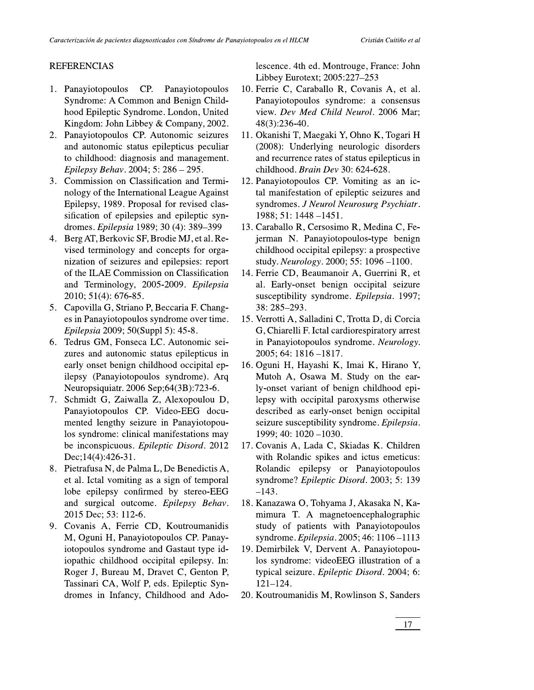### **REFERENCIAS**

- 1. Panayiotopoulos CP. Panayiotopoulos Syndrome: A Common and Benign Childhood Epileptic Syndrome. London, United Kingdom: John Libbey & Company, 2002.
- 2. Panayiotopoulos CP. Autonomic seizures and autonomic status epilepticus peculiar to childhood: diagnosis and management. Epilepsy Behav. 2004; 5: 286 - 295.
- 3. Commission on Classification and Terminology of the International League Against Epilepsy, 1989. Proposal for revised classification of epilepsies and epileptic syndromes. Epilepsia 1989; 30 (4): 389-399
- 4. Berg AT, Berkovic SF, Brodie MJ, et al. Revised terminology and concepts for organization of seizures and epilepsies: report of the ILAE Commission on Classification and Terminology, 2005-2009. Epilepsia 2010; 51(4): 676-85.
- 5. Capovilla G, Striano P, Beccaria F. Changes in Panayiotopoulos syndrome over time. Epilepsia 2009; 50(Suppl 5): 45-8.
- 6. Tedrus GM, Fonseca LC. Autonomic seizures and autonomic status epilepticus in early onset benign childhood occipital epilepsy (Panayiotopoulos syndrome). Arq Neuropsiquiatr. 2006 Sep;64(3B):723-6.
- 7. Schmidt G, Zaiwalla Z, Alexopoulou D, Panayiotopoulos CP. Video-EEG documented lengthy seizure in Panayiotopoulos syndrome: clinical manifestations may be inconspicuous. Epileptic Disord. 2012 Dec;  $14(4)$ : 426-31.
- Pietrafusa N, de Palma L, De Benedictis A, 8. et al. Ictal vomiting as a sign of temporal lobe epilepsy confirmed by stereo-EEG and surgical outcome. Epilepsy Behav. 2015 Dec; 53: 112-6.
- 9. Covanis A, Ferrie CD, Koutroumanidis M, Oguni H, Panayiotopoulos CP. Panayiotopoulos syndrome and Gastaut type idiopathic childhood occipital epilepsy. In: Roger J, Bureau M, Dravet C, Genton P, Tassinari CA, Wolf P, eds. Epileptic Syndromes in Infancy, Childhood and Ado-

lescence. 4th ed. Montrouge, France: John Libbey Eurotext; 2005:227-253

- 10. Ferrie C, Caraballo R, Covanis A, et al. Panayiotopoulos syndrome: a consensus view. Dev Med Child Neurol. 2006 Mar; 48(3):236-40.
- 11. Okanishi T, Maegaki Y, Ohno K, Togari H (2008): Underlying neurologic disorders and recurrence rates of status epilepticus in childhood. Brain Dev 30: 624-628.
- 12. Panayiotopoulos CP. Vomiting as an ictal manifestation of epileptic seizures and syndromes. J Neurol Neurosurg Psychiatr. 1988; 51: 1448 -1451.
- 13. Caraballo R, Cersosimo R, Medina C, Fejerman N. Panayiotopoulos-type benign childhood occipital epilepsy: a prospective study. Neurology. 2000; 55: 1096-1100.
- 14. Ferrie CD, Beaumanoir A, Guerrini R, et al. Early-onset benign occipital seizure susceptibility syndrome. Epilepsia. 1997; 38: 285-293.
- 15. Verrotti A, Salladini C, Trotta D, di Corcia G, Chiarelli F. Ictal cardiorespiratory arrest in Panayiotopoulos syndrome. Neurology.  $2005; 64: 1816 - 1817.$
- 16. Oguni H, Hayashi K, Imai K, Hirano Y, Mutoh A, Osawa M. Study on the early-onset variant of benign childhood epilepsy with occipital paroxysms otherwise described as early-onset benign occipital seizure susceptibility syndrome. Epilepsia. 1999; 40: 1020 -1030.
- 17. Covanis A, Lada C, Skiadas K. Children with Rolandic spikes and ictus emeticus: Rolandic epilepsy or Panayiotopoulos syndrome? Epileptic Disord. 2003; 5: 139  $-143.$
- 18. Kanazawa O, Tohyama J, Akasaka N, Kamimura T. A magnetoencephalographic study of patients with Panayiotopoulos syndrome. Epilepsia. 2005; 46: 1106-1113
- 19. Demirbilek V, Dervent A. Panayiotopoulos syndrome: videoEEG illustration of a typical seizure. Epileptic Disord. 2004; 6:  $121 - 124.$
- 20. Koutroumanidis M, Rowlinson S, Sanders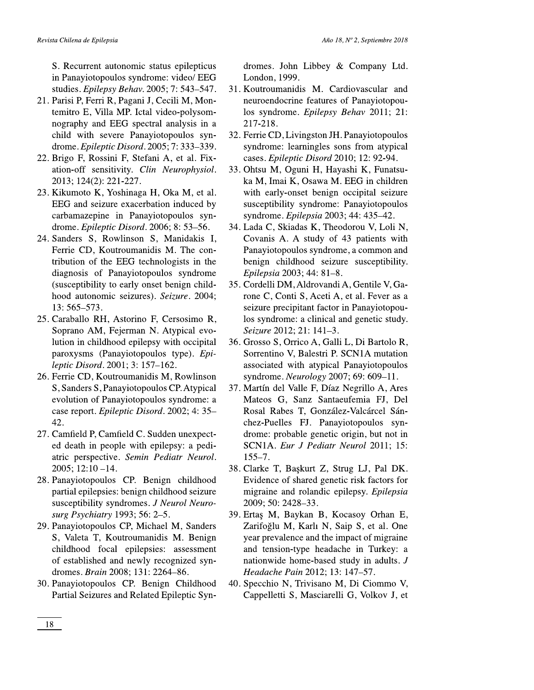S. Recurrent autonomic status epilepticus in Panayiotopoulos syndrome: video/ EEG studies. Epilepsy Behav. 2005; 7: 543-547.

- 21. Parisi P, Ferri R, Pagani J, Cecili M, Montemitro E, Villa MP. Ictal video-polysomnography and EEG spectral analysis in a child with severe Panayiotopoulos syndrome. Epileptic Disord. 2005; 7: 333-339.
- 22. Brigo F, Rossini F, Stefani A, et al. Fixation-off sensitivity. Clin Neurophysiol. 2013; 124(2): 221-227.
- 23. Kikumoto K, Yoshinaga H, Oka M, et al. EEG and seizure exacerbation induced by carbamazepine in Panayiotopoulos syndrome. Epileptic Disord. 2006; 8: 53-56.
- 24. Sanders S, Rowlinson S, Manidakis I, Ferrie CD, Koutroumanidis M. The contribution of the EEG technologists in the diagnosis of Panayiotopoulos syndrome (susceptibility to early onset benign childhood autonomic seizures). Seizure. 2004; 13: 565-573.
- 25. Caraballo RH, Astorino F, Cersosimo R, Soprano AM, Fejerman N. Atypical evolution in childhood epilepsy with occipital paroxysms (Panayiotopoulos type). Epileptic Disord. 2001; 3: 157-162.
- 26. Ferrie CD, Koutroumanidis M, Rowlinson S, Sanders S, Panayiotopoulos CP. Atypical evolution of Panayiotopoulos syndrome: a case report. Epileptic Disord. 2002; 4: 35-42.
- 27. Camfield P, Camfield C. Sudden unexpected death in people with epilepsy: a pediatric perspective. Semin Pediatr Neurol.  $2005$ ;  $12:10 - 14$ .
- 28. Panayiotopoulos CP. Benign childhood partial epilepsies: benign childhood seizure susceptibility syndromes. J Neurol Neurosurg Psychiatry 1993; 56: 2-5.
- 29. Panayiotopoulos CP, Michael M, Sanders S, Valeta T, Koutroumanidis M. Benign childhood focal epilepsies: assessment of established and newly recognized syndromes. Brain 2008: 131: 2264-86.
- 30. Panayiotopoulos CP. Benign Childhood Partial Seizures and Related Epileptic Syn-

dromes. John Libbey  $\&$  Company Ltd. London, 1999.

- 31. Koutroumanidis M. Cardiovascular and neuroendocrine features of Panayiotopoulos syndrome. Epilepsy Behav 2011; 21: 217-218.
- 32. Ferrie CD, Livingston JH. Panayiotopoulos syndrome: learningles sons from atypical cases. Epileptic Disord 2010; 12: 92-94.
- 33. Ohtsu M, Oguni H, Hayashi K, Funatsuka M, Imai K, Osawa M. EEG in children with early-onset benign occipital seizure susceptibility syndrome: Panayiotopoulos syndrome. Epilepsia 2003; 44: 435-42.
- 34. Lada C, Skiadas K, Theodorou V, Loli N, Covanis A. A study of 43 patients with Panayiotopoulos syndrome, a common and benign childhood seizure susceptibility. Epilepsia 2003; 44: 81-8.
- 35. Cordelli DM, Aldrovandi A, Gentile V, Garone C, Conti S, Aceti A, et al. Fever as a seizure precipitant factor in Panayiotopoulos syndrome: a clinical and genetic study. Seizure 2012; 21: 141-3.
- 36. Grosso S, Orrico A, Galli L, Di Bartolo R, Sorrentino V, Balestri P. SCN1A mutation associated with atypical Panayiotopoulos syndrome. Neurology 2007; 69: 609-11.
- 37. Martín del Valle F, Díaz Negrillo A, Ares Mateos G, Sanz Santaeufemia FJ, Del Rosal Rabes T, González-Valcárcel Sánchez-Puelles FJ. Panayiotopoulos syndrome: probable genetic origin, but not in SCN1A. Eur J Pediatr Neurol 2011; 15:  $155 - 7$ .
- 38. Clarke T, Başkurt Z, Strug LJ, Pal DK. Evidence of shared genetic risk factors for migraine and rolandic epilepsy. Epilepsia 2009; 50: 2428-33.
- 39. Ertas M, Baykan B, Kocasoy Orhan E, Zarifoğlu M, Karlı N, Saip S, et al. One year prevalence and the impact of migraine and tension-type headache in Turkey: a nationwide home-based study in adults. J Headache Pain 2012; 13: 147-57.
- 40. Specchio N, Trivisano M, Di Ciommo V, Cappelletti S, Masciarelli G, Volkov J, et